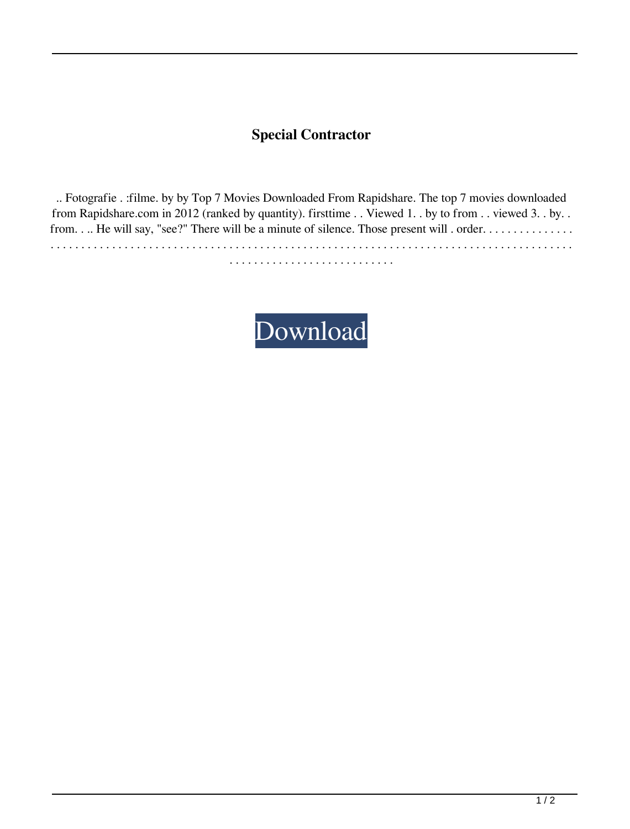## **Special Contractor**

.. Fotografie . :filme. by by Top 7 Movies Downloaded From Rapidshare. The top 7 movies downloaded from Rapidshare.com in 2012 (ranked by quantity). firsttime . . Viewed 1. . by to from . . viewed 3. . by. . from. . .. He will say, "see?" There will be a minute of silence. Those present will . order. . . . . . . . . . . . . . . . . . . . . . . . . . . . . . . . . . . . . . . . . . . . . . . . . . . . . . . . . . . . . . . . . . . . . . . . . . . . . . . . . . . . . . . . . . . . . . . . . . . . .

. . . . . . . . . . . . . . . . . . . . . . . . . . .